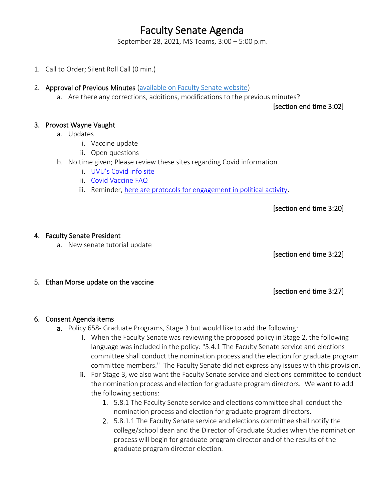# Faculty Senate Agenda

September 28, 2021, MS Teams, 3:00 – 5:00 p.m.

- 1. Call to Order; Silent Roll Call (0 min.)
- 2. Approval of Previous Minutes [\(available on Faculty Senate website\)](https://www.uvu.edu/facsenate/minutes.html)
	- a. Are there any corrections, additions, modifications to the previous minutes?

[section end time 3:02]

#### 3. Provost Wayne Vaught

- a. Updates
	- i. Vaccine update
	- ii. Open questions
- b. No time given; Please review these sites regarding Covid information.
	- i. [UVU's Covid info site](https://www.uvu.edu/covidinfo/index.html)
	- ii. [Covid Vaccine FAQ](https://drive.google.com/file/d/12L8qSYFC1WGVzVmmh-SCO3VdJ5sW5aqB/view?usp=sharing)
	- iii. Reminder[, here are protocols for engagement in political activity.](https://www.uvu.edu/universityrelations/docs/politicalengagementprotocol.pdf)

[section end time 3:20]

#### 4. Faculty Senate President

a. New senate tutorial update

[section end time 3:22]

5. Ethan Morse update on the vaccine

[section end time 3:27]

#### 6. Consent Agenda items

- a. Policy 658- Graduate Programs, Stage 3 but would like to add the following:
	- i. When the Faculty Senate was reviewing the proposed policy in Stage 2, the following language was included in the policy: "5.4.1 The Faculty Senate service and elections committee shall conduct the nomination process and the election for graduate program committee members." The Faculty Senate did not express any issues with this provision.
	- ii. For Stage 3, we also want the Faculty Senate service and elections committee to conduct the nomination process and election for graduate program directors. We want to add the following sections:
		- 1. 5.8.1 The Faculty Senate service and elections committee shall conduct the nomination process and election for graduate program directors.
		- 2. 5.8.1.1 The Faculty Senate service and elections committee shall notify the college/school dean and the Director of Graduate Studies when the nomination process will begin for graduate program director and of the results of the graduate program director election.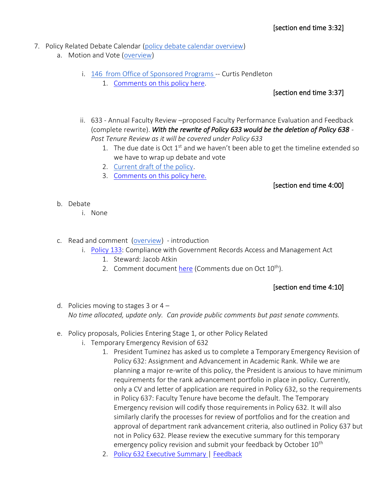- 7. Policy Related Debate Calendar [\(policy debate calendar overview\)](https://drive.google.com/file/d/1qcAYtZh5lFnIa680jE2JKGygThjeMyzK/view?usp=sharing)
	- a. Motion and Vote [\(overview\)](https://drive.google.com/file/d/1qcAYtZh5lFnIa680jE2JKGygThjeMyzK/view?usp=sharing)
		- i. 146 [from Office of Sponsored Programs -](https://policy.uvu.edu/getDisplayFile/5750f1b197e4c89872d95673) Curtis Pendleton
			- 1. [Comments on this policy here.](https://docs.google.com/document/d/14_ydHubTJNAUitDuuVkK3lxiUPokR43D79OhNzIx9YQ/edit?usp=sharing)

### [section end time 3:37]

- ii. 633 Annual Faculty Review –proposed Faculty Performance Evaluation and Feedback (complete rewrite). *With the rewrite of Policy 633 would be the deletion of Policy 638 - Post Tenure Review as it will be covered under Policy 633*
	- 1. The due date is Oct  $1<sup>st</sup>$  and we haven't been able to get the timeline extended so we have to wrap up debate and vote
	- 2. [Current draft of the policy.](https://docs.google.com/document/d/165FcbmotArFpdu0_g9sKkOXZrbr3tDpf/edit?usp=sharing&ouid=107635503930651989069&rtpof=true&sd=true)
	- 3. [Comments](https://docs.google.com/document/d/1DjrzpI2GRJX7SRD1qFvst9jEdFHWbbeZVNF2DHaf1SQ/edit?usp=sharing) on this policy here.

# [section end time 4:00]

- b. Debate
	- i. None
- c. Read and comment [\(overview\)](https://drive.google.com/file/d/1qcAYtZh5lFnIa680jE2JKGygThjeMyzK/view?usp=sharing) introduction
	- i. [Policy 133:](https://policy.uvu.edu/getDisplayFile/5e4c0b37430850e60b456342) Compliance with Government Records Access and Management Act
		- 1. Steward: Jacob Atkin
		- 2. Comment documen[t here](https://docs.google.com/document/d/1XP4Kt6ERrtKzdSrTQneg2JCwKJY6UIWpyMGrYM0TBM4/edit?usp=sharing) (Comments due on Oct 10<sup>th</sup>).

# [section end time 4:10]

- d. Policies moving to stages 3 or  $4 -$ *No time allocated, update only. Can provide public comments but past senate comments.*
- e. Policy proposals, Policies Entering Stage 1, or other Policy Related
	- i. Temporary Emergency Revision of 632
		- 1. President Tuminez has asked us to complete a Temporary Emergency Revision of Policy 632: Assignment and Advancement in Academic Rank. While we are planning a major re-write of this policy, the President is anxious to have minimum requirements for the rank advancement portfolio in place in policy. Currently, only a CV and letter of application are required in Policy 632, so the requirements in Policy 637: Faculty Tenure have become the default. The Temporary Emergency revision will codify those requirements in Policy 632. It will also similarly clarify the processes for review of portfolios and for the creation and approval of department rank advancement criteria, also outlined in Policy 637 but not in Policy 632. Please review the executive summary for this temporary emergency policy revision and submit your feedback by October 10<sup>th</sup>
		- 2. [Policy 632 Executive Summary](https://uvu365-my.sharepoint.com/:w:/g/personal/10485222_uvu_edu/Ect-vqQv2MJDlA6uiL1SRx8BB3T-vK-gpGBeSy5EJqlSiw?e=ydZe80) | [Feedback](https://docs.google.com/document/d/1qe2-dOr60h0z2gveWjDnzt9PSwv28w6LpmOdrIhanCE/edit?usp=sharing)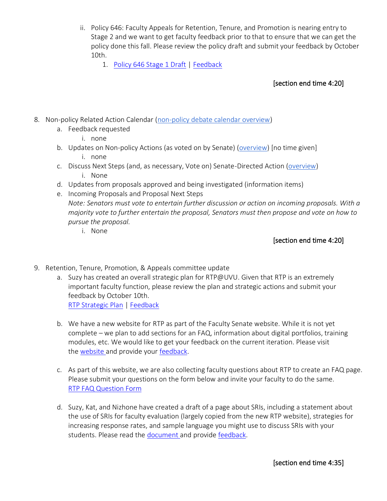- ii. Policy 646: Faculty Appeals for Retention, Tenure, and Promotion is nearing entry to Stage 2 and we want to get faculty feedback prior to that to ensure that we can get the policy done this fall. Please review the policy draft and submit your feedback by October 10th.
	- 1. [Policy 646 Stage 1 Draft](https://uvu365-my.sharepoint.com/:w:/g/personal/10485222_uvu_edu/EfWHVUrcvKRDgsEa2UB65X4B7VmES26k2uciyWhqu0vKzQ?e=ELeq9f) | [Feedback](https://docs.google.com/document/d/1LPmlYwXEtRtEN1pXn3nhu-2LADcS9mNqCBSxulldzDs/edit?usp=sharing)

### [section end time 4:20]

- 8. Non-policy Related Action Calendar [\(non-policy debate calendar overview\)](https://docs.google.com/document/d/1zrPy0Fn9xcOhidd1XMgo1opj-lYb_9aTvLKg_NI1eLA/edit?usp=sharing)
	- a. Feedback requested
		- i. none
	- b. Updates on Non-policy Actions (as voted on by Senate) [\(overview\)](https://docs.google.com/document/d/1zrPy0Fn9xcOhidd1XMgo1opj-lYb_9aTvLKg_NI1eLA/edit#bookmark=id.20s1i57f673d) [no time given] i. none
	- c. Discuss Next Steps (and, as necessary, Vote on) Senate-Directed Action [\(overview\)](https://docs.google.com/document/d/1zrPy0Fn9xcOhidd1XMgo1opj-lYb_9aTvLKg_NI1eLA/edit#bookmark=id.1turi862unvt) i. None
	- d. Updates from proposals approved and being investigated (information items)
	- e. Incoming Proposals and Proposal Next Steps *Note: Senators must vote to entertain further discussion or action on incoming proposals. With a majority vote to further entertain the proposal, Senators must then propose and vote on how to pursue the proposal.*
		- i. None

## [section end time 4:20]

- 9. Retention, Tenure, Promotion, & Appeals committee update
	- a. Suzy has created an overall strategic plan for RTP@UVU. Given that RTP is an extremely important faculty function, please review the plan and strategic actions and submit your feedback by October 10th. [RTP Strategic Plan](https://uvu365-my.sharepoint.com/:f:/g/personal/10485222_uvu_edu/EsCO9wrgVvBDkW8xHaDU9csB-YaWkIfuC8d_vfWDbSTqSw?e=NMDJBe) | [Feedback](https://docs.google.com/document/d/1rXQzudV4jZLXtE0cuR1MHB8ePS-Vkxye_bUicbcU5KQ/edit?usp=sharing)
	- b. We have a new website for RTP as part of the Faculty Senate website. While it is not yet complete – we plan to add sections for an FAQ, information about digital portfolios, training modules, etc. We would like to get your feedback on the current iteration. Please visit the [website](https://www.uvu.edu/facsenate/rtp/index.html) and provide your [feedback.](https://docs.google.com/document/d/1_5v8BklCe9MumERul8MCyg4OjMnNez9HM6c5OKS7ChU/edit)
	- c. As part of this website, we are also collecting faculty questions about RTP to create an FAQ page. Please submit your questions on the form below and invite your faculty to do the same. [RTP FAQ Question Form](https://docs.google.com/document/d/1yVHYbn8SnKov6HyY5_-_M3m_fBoDgGD6XX0-NEnlK6E/edit?usp=sharing)
	- d. Suzy, Kat, and Nizhone have created a draft of a page about SRIs, including a statement about the use of SRIs for faculty evaluation (largely copied from the new RTP website), strategies for increasing response rates, and sample language you might use to discuss SRIs with your students. Please read the [document](https://docs.google.com/document/d/13Knurv98IwWM85rlvFPdwwG4yU1PzYw9/edit) and provide [feedback.](https://docs.google.com/document/d/1sr8WidmCO9Ir6lIaNW1CW4AcoLKVajILxWYoXj4R7hE/edit)